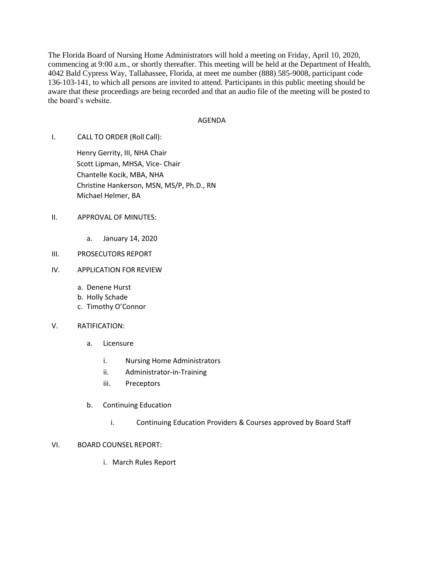The Florida Board of Nursing Home Administrators will hold a meeting on Friday, April 10, 2020, commencing at 9:00 a.m., or shortly thereafter. This meeting will be held at the Department of Health, 4042 Bald Cypress Way, Tallahassee, Florida, at meet me number (888) 585-9008, participant code 136-103-141, to which all persons are invited to attend. Participants in this public meeting should be aware that these proceedings are being recorded and that an audio file of the meeting will be posted to the board's website.

## AGENDA

I. CALL TO ORDER (Roll Call):

Henry Gerrity, III, NHA Chair Scott Lipman, MHSA, Vice- Chair Chantelle Kocik, MBA, NHA Christine Hankerson, MSN, MS/P, Ph.D., RN Michael Helmer, BA

- II. APPROVAL OF MINUTES:
	- a. January 14, 2020
- III. PROSECUTORS REPORT
- IV. APPLICATION FOR REVIEW
	- a. Denene Hurst
	- b. Holly Schade
	- c. Timothy O'Connor
- V. RATIFICATION:
	- a. Licensure
		- i. Nursing Home Administrators
		- ii. Administrator-in-Training
		- iii. Preceptors
	- b. Continuing Education
		- i. Continuing Education Providers & Courses approved by Board Staff

## VI. BOARD COUNSEL REPORT:

i. March Rules Report